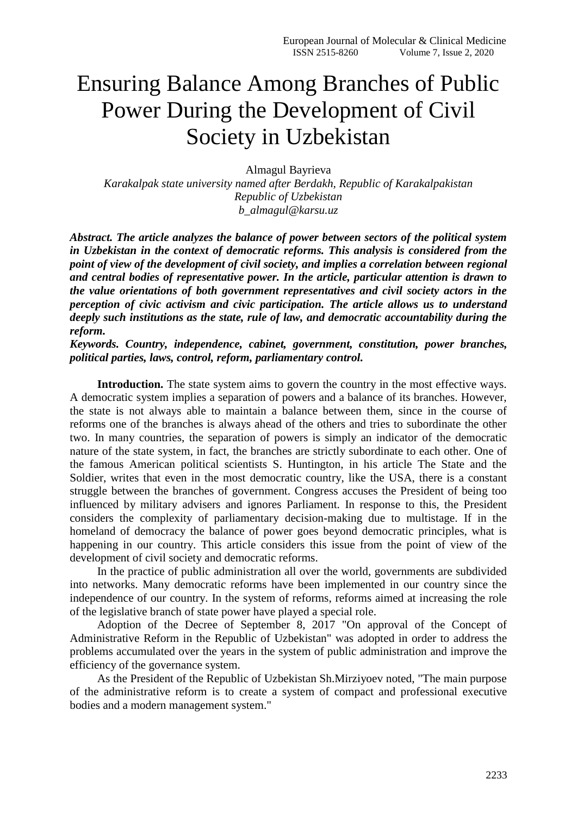## Ensuring Balance Among Branches of Public Power During the Development of Civil Society in Uzbekistan

Almagul Bayrieva

*Karakalpak state university named after Berdakh, Republic of Karakalpakistan Republic of Uzbekistan b\_almagul@karsu.uz*

*Abstract. The article analyzes the balance of power between sectors of the political system in Uzbekistan in the context of democratic reforms. This analysis is considered from the point of view of the development of civil society, and implies a correlation between regional and central bodies of representative power. In the article, particular attention is drawn to the value orientations of both government representatives and civil society actors in the perception of civic activism and civic participation. The article allows us to understand deeply such institutions as the state, rule of law, and democratic accountability during the reform.*

*Keywords. Country, independence, cabinet, government, constitution, power branches, political parties, laws, control, reform, parliamentary control.*

**Introduction.** The state system aims to govern the country in the most effective ways. A democratic system implies a separation of powers and a balance of its branches. However, the state is not always able to maintain a balance between them, since in the course of reforms one of the branches is always ahead of the others and tries to subordinate the other two. In many countries, the separation of powers is simply an indicator of the democratic nature of the state system, in fact, the branches are strictly subordinate to each other. One of the famous American political scientists S. Huntington, in his article The State and the Soldier, writes that even in the most democratic country, like the USA, there is a constant struggle between the branches of government. Congress accuses the President of being too influenced by military advisers and ignores Parliament. In response to this, the President considers the complexity of parliamentary decision-making due to multistage. If in the homeland of democracy the balance of power goes beyond democratic principles, what is happening in our country. This article considers this issue from the point of view of the development of civil society and democratic reforms.

In the practice of public administration all over the world, governments are subdivided into networks. Many democratic reforms have been implemented in our country since the independence of our country. In the system of reforms, reforms aimed at increasing the role of the legislative branch of state power have played a special role.

Adoption of the Decree of September 8, 2017 "On approval of the Concept of Administrative Reform in the Republic of Uzbekistan" was adopted in order to address the problems accumulated over the years in the system of public administration and improve the efficiency of the governance system.

As the President of the Republic of Uzbekistan Sh.Mirziyoev noted, "The main purpose of the administrative reform is to create a system of compact and professional executive bodies and a modern management system."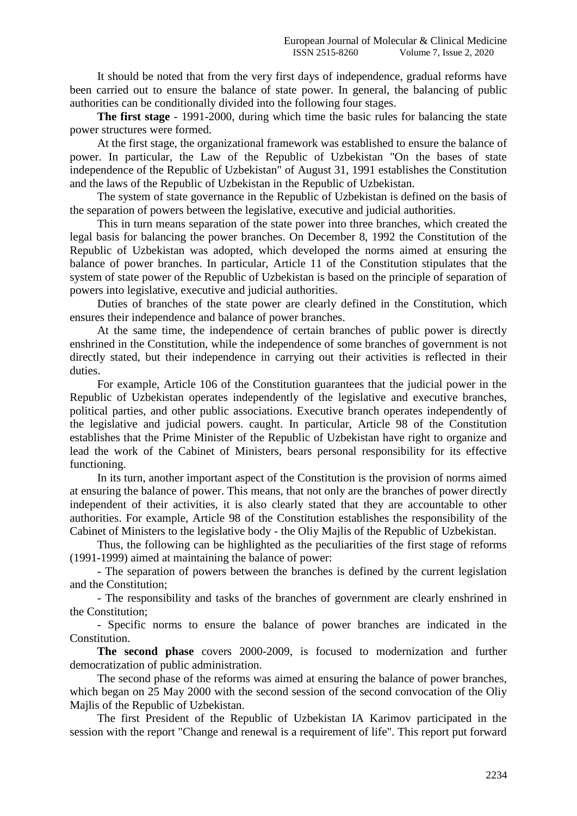It should be noted that from the very first days of independence, gradual reforms have been carried out to ensure the balance of state power. In general, the balancing of public authorities can be conditionally divided into the following four stages.

**The first stage** - 1991-2000, during which time the basic rules for balancing the state power structures were formed.

At the first stage, the organizational framework was established to ensure the balance of power. In particular, the Law of the Republic of Uzbekistan "On the bases of state independence of the Republic of Uzbekistan" of August 31, 1991 establishes the Constitution and the laws of the Republic of Uzbekistan in the Republic of Uzbekistan.

The system of state governance in the Republic of Uzbekistan is defined on the basis of the separation of powers between the legislative, executive and judicial authorities.

This in turn means separation of the state power into three branches, which created the legal basis for balancing the power branches. On December 8, 1992 the Constitution of the Republic of Uzbekistan was adopted, which developed the norms aimed at ensuring the balance of power branches. In particular, Article 11 of the Constitution stipulates that the system of state power of the Republic of Uzbekistan is based on the principle of separation of powers into legislative, executive and judicial authorities.

Duties of branches of the state power are clearly defined in the Constitution, which ensures their independence and balance of power branches.

At the same time, the independence of certain branches of public power is directly enshrined in the Constitution, while the independence of some branches of government is not directly stated, but their independence in carrying out their activities is reflected in their duties.

For example, Article 106 of the Constitution guarantees that the judicial power in the Republic of Uzbekistan operates independently of the legislative and executive branches, political parties, and other public associations. Executive branch operates independently of the legislative and judicial powers. caught. In particular, Article 98 of the Constitution establishes that the Prime Minister of the Republic of Uzbekistan have right to organize and lead the work of the Cabinet of Ministers, bears personal responsibility for its effective functioning.

In its turn, another important aspect of the Constitution is the provision of norms aimed at ensuring the balance of power. This means, that not only are the branches of power directly independent of their activities, it is also clearly stated that they are accountable to other authorities. For example, Article 98 of the Constitution establishes the responsibility of the Cabinet of Ministers to the legislative body - the Oliy Majlis of the Republic of Uzbekistan.

Thus, the following can be highlighted as the peculiarities of the first stage of reforms (1991-1999) aimed at maintaining the balance of power:

- The separation of powers between the branches is defined by the current legislation and the Constitution;

- The responsibility and tasks of the branches of government are clearly enshrined in the Constitution;

- Specific norms to ensure the balance of power branches are indicated in the Constitution.

**The second phase** covers 2000-2009, is focused to modernization and further democratization of public administration.

The second phase of the reforms was aimed at ensuring the balance of power branches, which began on 25 May 2000 with the second session of the second convocation of the Oliy Majlis of the Republic of Uzbekistan.

The first President of the Republic of Uzbekistan IA Karimov participated in the session with the report "Change and renewal is a requirement of life". This report put forward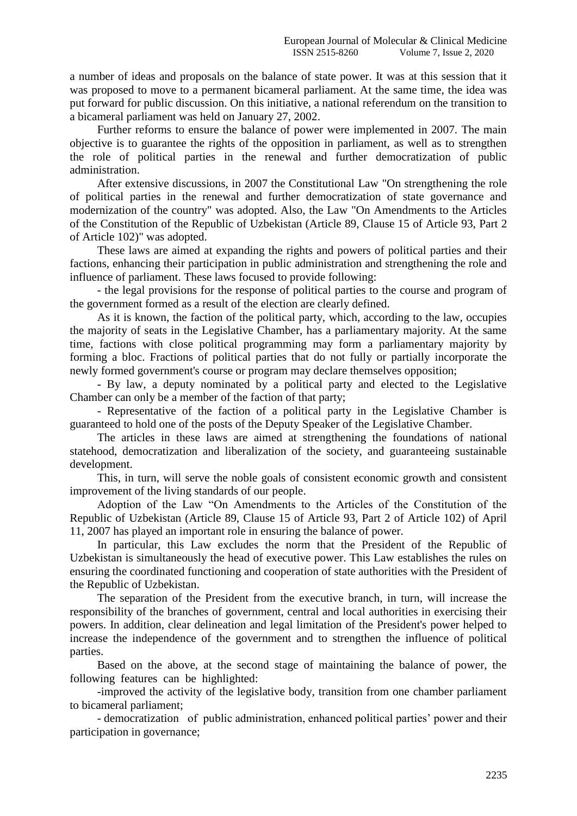a number of ideas and proposals on the balance of state power. It was at this session that it was proposed to move to a permanent bicameral parliament. At the same time, the idea was put forward for public discussion. On this initiative, a national referendum on the transition to a bicameral parliament was held on January 27, 2002.

Further reforms to ensure the balance of power were implemented in 2007. The main objective is to guarantee the rights of the opposition in parliament, as well as to strengthen the role of political parties in the renewal and further democratization of public administration.

After extensive discussions, in 2007 the Constitutional Law "On strengthening the role of political parties in the renewal and further democratization of state governance and modernization of the country" was adopted. Also, the Law "On Amendments to the Articles of the Constitution of the Republic of Uzbekistan (Article 89, Clause 15 of Article 93, Part 2 of Article 102)" was adopted.

These laws are aimed at expanding the rights and powers of political parties and their factions, enhancing their participation in public administration and strengthening the role and influence of parliament. These laws focused to provide following:

- the legal provisions for the response of political parties to the course and program of the government formed as a result of the election are clearly defined.

As it is known, the faction of the political party, which, according to the law, occupies the majority of seats in the Legislative Chamber, has a parliamentary majority. At the same time, factions with close political programming may form a parliamentary majority by forming a bloc. Fractions of political parties that do not fully or partially incorporate the newly formed government's course or program may declare themselves opposition;

- By law, a deputy nominated by a political party and elected to the Legislative Chamber can only be a member of the faction of that party;

- Representative of the faction of a political party in the Legislative Chamber is guaranteed to hold one of the posts of the Deputy Speaker of the Legislative Chamber.

The articles in these laws are aimed at strengthening the foundations of national statehood, democratization and liberalization of the society, and guaranteeing sustainable development.

This, in turn, will serve the noble goals of consistent economic growth and consistent improvement of the living standards of our people.

Adoption of the Law "On Amendments to the Articles of the Constitution of the Republic of Uzbekistan (Article 89, Clause 15 of Article 93, Part 2 of Article 102) of April 11, 2007 has played an important role in ensuring the balance of power.

In particular, this Law excludes the norm that the President of the Republic of Uzbekistan is simultaneously the head of executive power. This Law establishes the rules on ensuring the coordinated functioning and cooperation of state authorities with the President of the Republic of Uzbekistan.

The separation of the President from the executive branch, in turn, will increase the responsibility of the branches of government, central and local authorities in exercising their powers. In addition, clear delineation and legal limitation of the President's power helped to increase the independence of the government and to strengthen the influence of political parties.

Based on the above, at the second stage of maintaining the balance of power, the following features can be highlighted:

-improved the activity of the legislative body, transition from one chamber parliament to bicameral parliament;

- democratization of public administration, enhanced political parties' power and their participation in governance;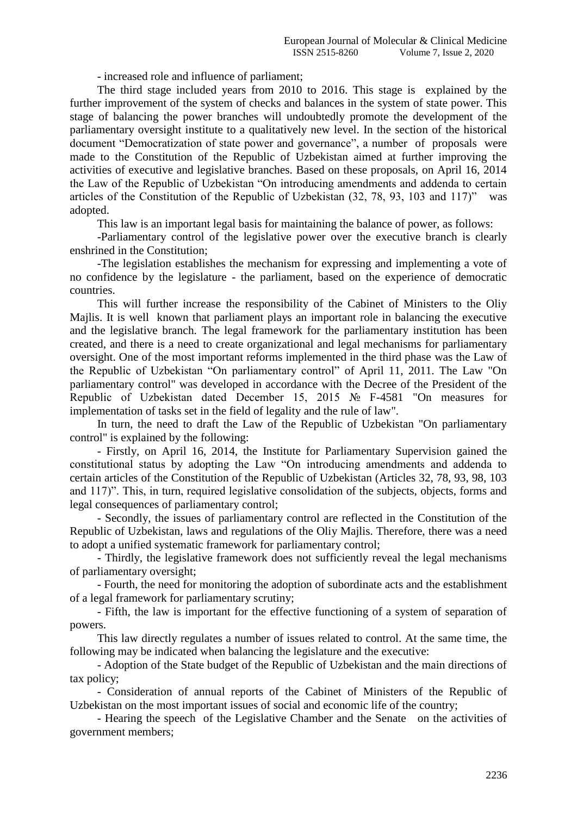- increased role and influence of parliament;

The third stage included years from 2010 to 2016. This stage is explained by the further improvement of the system of checks and balances in the system of state power. This stage of balancing the power branches will undoubtedly promote the development of the parliamentary oversight institute to a qualitatively new level. In the section of the historical document "Democratization of state power and governance", a number of proposals were made to the Constitution of the Republic of Uzbekistan aimed at further improving the activities of executive and legislative branches. Based on these proposals, on April 16, 2014 the Law of the Republic of Uzbekistan "On introducing amendments and addenda to certain articles of the Constitution of the Republic of Uzbekistan (32, 78, 93, 103 and 117)" was adopted.

This law is an important legal basis for maintaining the balance of power, as follows:

-Parliamentary control of the legislative power over the executive branch is clearly enshrined in the Constitution;

-The legislation establishes the mechanism for expressing and implementing a vote of no confidence by the legislature - the parliament, based on the experience of democratic countries.

This will further increase the responsibility of the Cabinet of Ministers to the Oliy Majlis. It is well known that parliament plays an important role in balancing the executive and the legislative branch. The legal framework for the parliamentary institution has been created, and there is a need to create organizational and legal mechanisms for parliamentary oversight. One of the most important reforms implemented in the third phase was the Law of the Republic of Uzbekistan "On parliamentary control" of April 11, 2011. The Law "On parliamentary control" was developed in accordance with the Decree of the President of the Republic of Uzbekistan dated December 15, 2015 № F-4581 "On measures for implementation of tasks set in the field of legality and the rule of law".

In turn, the need to draft the Law of the Republic of Uzbekistan "On parliamentary control" is explained by the following:

- Firstly, on April 16, 2014, the Institute for Parliamentary Supervision gained the constitutional status by adopting the Law "On introducing amendments and addenda to certain articles of the Constitution of the Republic of Uzbekistan (Articles 32, 78, 93, 98, 103 and 117)". This, in turn, required legislative consolidation of the subjects, objects, forms and legal consequences of parliamentary control;

- Secondly, the issues of parliamentary control are reflected in the Constitution of the Republic of Uzbekistan, laws and regulations of the Oliy Majlis. Therefore, there was a need to adopt a unified systematic framework for parliamentary control;

- Thirdly, the legislative framework does not sufficiently reveal the legal mechanisms of parliamentary oversight;

- Fourth, the need for monitoring the adoption of subordinate acts and the establishment of a legal framework for parliamentary scrutiny;

- Fifth, the law is important for the effective functioning of a system of separation of powers.

This law directly regulates a number of issues related to control. At the same time, the following may be indicated when balancing the legislature and the executive:

- Adoption of the State budget of the Republic of Uzbekistan and the main directions of tax policy;

- Consideration of annual reports of the Cabinet of Ministers of the Republic of Uzbekistan on the most important issues of social and economic life of the country;

- Hearing the speech of the Legislative Chamber and the Senate on the activities of government members;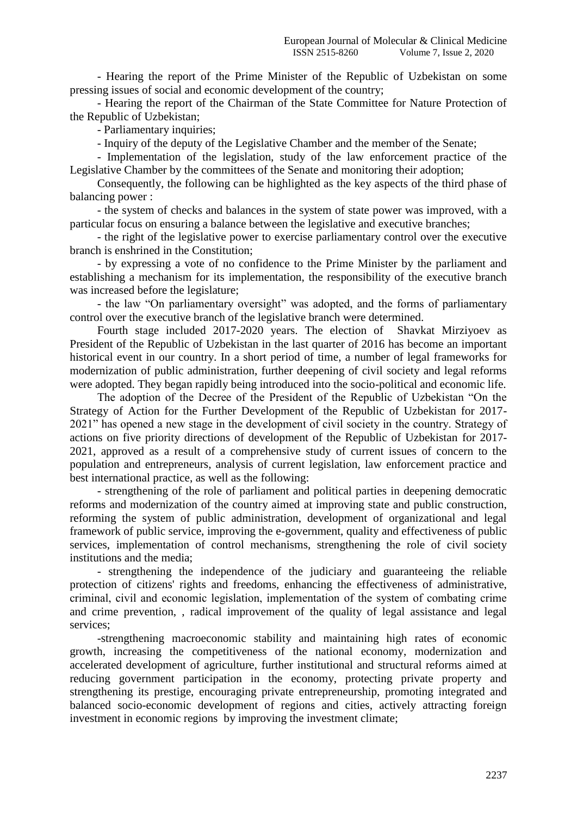- Hearing the report of the Prime Minister of the Republic of Uzbekistan on some pressing issues of social and economic development of the country;

- Hearing the report of the Chairman of the State Committee for Nature Protection of the Republic of Uzbekistan;

- Parliamentary inquiries;

- Inquiry of the deputy of the Legislative Chamber and the member of the Senate;

- Implementation of the legislation, study of the law enforcement practice of the Legislative Chamber by the committees of the Senate and monitoring their adoption;

Consequently, the following can be highlighted as the key aspects of the third phase of balancing power :

- the system of checks and balances in the system of state power was improved, with a particular focus on ensuring a balance between the legislative and executive branches;

- the right of the legislative power to exercise parliamentary control over the executive branch is enshrined in the Constitution;

- by expressing a vote of no confidence to the Prime Minister by the parliament and establishing a mechanism for its implementation, the responsibility of the executive branch was increased before the legislature;

- the law "On parliamentary oversight" was adopted, and the forms of parliamentary control over the executive branch of the legislative branch were determined.

Fourth stage included 2017-2020 years. The election of Shavkat Mirziyoev as President of the Republic of Uzbekistan in the last quarter of 2016 has become an important historical event in our country. In a short period of time, a number of legal frameworks for modernization of public administration, further deepening of civil society and legal reforms were adopted. They began rapidly being introduced into the socio-political and economic life.

The adoption of the Decree of the President of the Republic of Uzbekistan "On the Strategy of Action for the Further Development of the Republic of Uzbekistan for 2017- 2021" has opened a new stage in the development of civil society in the country. Strategy of actions on five priority directions of development of the Republic of Uzbekistan for 2017- 2021, approved as a result of a comprehensive study of current issues of concern to the population and entrepreneurs, analysis of current legislation, law enforcement practice and best international practice, as well as the following:

- strengthening of the role of parliament and political parties in deepening democratic reforms and modernization of the country aimed at improving state and public construction, reforming the system of public administration, development of organizational and legal framework of public service, improving the e-government, quality and effectiveness of public services, implementation of control mechanisms, strengthening the role of civil society institutions and the media;

- strengthening the independence of the judiciary and guaranteeing the reliable protection of citizens' rights and freedoms, enhancing the effectiveness of administrative, criminal, civil and economic legislation, implementation оf the system of combating crime and crime prevention, , radical improvement of the quality of legal assistance and legal services;

-strengthening macroeconomic stability and maintaining high rates of economic growth, increasing the competitiveness of the national economy, modernization and accelerated development of agriculture, further institutional and structural reforms aimed at reducing government participation in the economy, protecting private property and strengthening its prestige, encouraging private entrepreneurship, promoting integrated and balanced socio-economic development of regions and cities, actively attracting foreign investment in economic regions by improving the investment climate;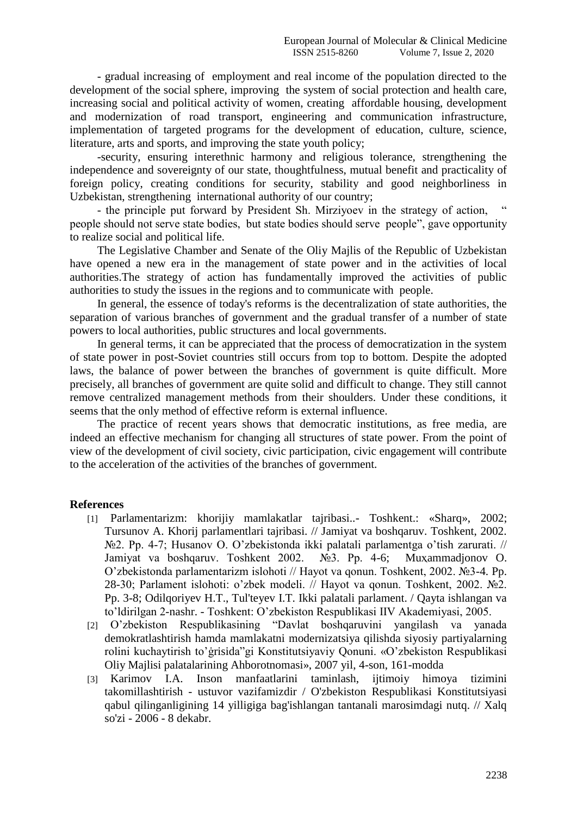- gradual increasing of employment and real income of the population directed to the development of the social sphere, improving the system of social protection and health care, increasing social and political activity of women, creating affordable housing, development and modernization of road transport, engineering and communication infrastructure, implementation of targeted programs for the development of education, culture, science, literature, arts and sports, and improving the state youth policy;

-security, ensuring interethnic harmony and religious tolerance, strengthening the independence and sovereignty of our state, thoughtfulness, mutual benefit and practicality of foreign policy, creating conditions for security, stability and good neighborliness in Uzbekistan, strengthening international authority of our country;

- the principle put forward by President Sh. Mirziyoev in the strategy of action, people should not serve state bodies, but state bodies should serve people", gave opportunity to realize social and political life.

The Legislative Chamber and Senate of the Oliy Majlis of the Republic of Uzbekistan have opened a new era in the management of state power and in the activities of local authorities.The strategy of action has fundamentally improved the activities of public authorities to study the issues in the regions and to communicate with people.

In general, the essence of today's reforms is the decentralization of state authorities, the separation of various branches of government and the gradual transfer of a number of state powers to local authorities, public structures and local governments.

In general terms, it can be appreciated that the process of democratization in the system of state power in post-Soviet countries still occurs from top to bottom. Despite the adopted laws, the balance of power between the branches of government is quite difficult. More precisely, all branches of government are quite solid and difficult to change. They still cannot remove centralized management methods from their shoulders. Under these conditions, it seems that the only method of effective reform is external influence.

The practice of recent years shows that democratic institutions, as free media, are indeed an effective mechanism for changing all structures of state power. From the point of view of the development of civil society, civic participation, civic engagement will contribute to the acceleration of the activities of the branches of government.

## **References**

- [1] Parlamentarizm: khorijiy mamlakatlar tajribasi..- Toshkent.: «Sharq», 2002; Tursunov A. Khorij parlamentlari tajribasi. // Jamiyat va boshqaruv. Toshkent, 2002. №2. Pp. 4-7; Husanov O. O'zbekistonda ikki palatali parlamentga o'tish zarurati. // Jamiyat va boshqaruv. Toshkent 2002. №3. Pp. 4-6; Muҳammadjonov O. O'zbekistonda parlamentarizm islohoti // Hayot va qonun. Toshkent, 2002. №3-4. Pp. 28-30; Parlament islohoti: o'zbek modeli. // Hayot va qonun. Toshkent, 2002. №2. Pp. 3-8; Odilqoriyev H.T., Tul'teyev I.T. Ikki palatali parlament. / Qayta ishlangan va to'ldirilgan 2-nashr. - Toshkent: O'zbekiston Respublikasi IIV Akademiyasi, 2005.
- [2] O'zbekiston Respublikasining "Davlat boshqaruvini yangilash va yanada demokratlashtirish hamda mamlakatni modernizatsiya qilishda siyosiy partiyalarning rolini kuchaytirish to'ġrisida"gi Konstitutsiyaviy Qonuni. «O'zbekiston Respublikasi Oliy Majlisi palatalarining Ahborotnomasi», 2007 yil, 4-son, 161-modda
- [3] Karimov I.A. Inson manfaatlarini taminlash, ijtimoiy himoya tizimini takomillashtirish - ustuvor vazifamizdir / O'zbekiston Respublikasi Konstitutsiyasi qabul qilinganligining 14 yilligiga bag'ishlangan tantanali marosimdagi nutq. // Xalq so'zi - 2006 - 8 dekabr.